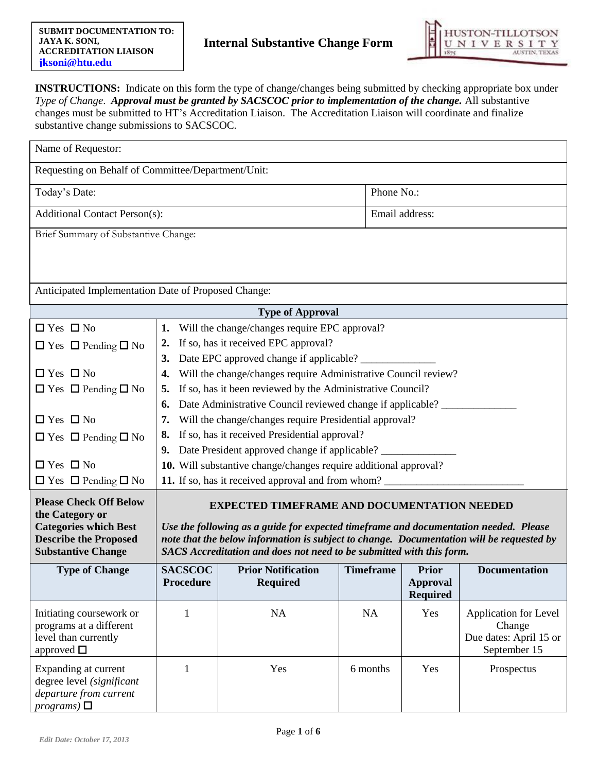

**INSTRUCTIONS:** Indicate on this form the type of change/changes being submitted by checking appropriate box under *Type of Change. Approval must be granted by SACSCOC prior to implementation of the change. All substantive* changes must be submitted to HT's Accreditation Liaison. The Accreditation Liaison will coordinate and finalize substantive change submissions to SACSCOC.

| Name of Requestor:                                                                                                                                                                                                                                                                                                                                                                                                                                              |                                                                  |                                                                                                                      |                  |                                                    |                                                                           |  |
|-----------------------------------------------------------------------------------------------------------------------------------------------------------------------------------------------------------------------------------------------------------------------------------------------------------------------------------------------------------------------------------------------------------------------------------------------------------------|------------------------------------------------------------------|----------------------------------------------------------------------------------------------------------------------|------------------|----------------------------------------------------|---------------------------------------------------------------------------|--|
| Requesting on Behalf of Committee/Department/Unit:                                                                                                                                                                                                                                                                                                                                                                                                              |                                                                  |                                                                                                                      |                  |                                                    |                                                                           |  |
| Today's Date:                                                                                                                                                                                                                                                                                                                                                                                                                                                   |                                                                  |                                                                                                                      |                  | Phone No.:                                         |                                                                           |  |
| <b>Additional Contact Person(s):</b>                                                                                                                                                                                                                                                                                                                                                                                                                            |                                                                  |                                                                                                                      |                  | Email address:                                     |                                                                           |  |
| Brief Summary of Substantive Change:                                                                                                                                                                                                                                                                                                                                                                                                                            |                                                                  |                                                                                                                      |                  |                                                    |                                                                           |  |
|                                                                                                                                                                                                                                                                                                                                                                                                                                                                 |                                                                  |                                                                                                                      |                  |                                                    |                                                                           |  |
|                                                                                                                                                                                                                                                                                                                                                                                                                                                                 |                                                                  |                                                                                                                      |                  |                                                    |                                                                           |  |
| Anticipated Implementation Date of Proposed Change:                                                                                                                                                                                                                                                                                                                                                                                                             |                                                                  |                                                                                                                      |                  |                                                    |                                                                           |  |
|                                                                                                                                                                                                                                                                                                                                                                                                                                                                 |                                                                  | <b>Type of Approval</b>                                                                                              |                  |                                                    |                                                                           |  |
| $\Box$ Yes $\Box$ No                                                                                                                                                                                                                                                                                                                                                                                                                                            | 1.                                                               | Will the change/changes require EPC approval?                                                                        |                  |                                                    |                                                                           |  |
| $\Box$ Yes $\Box$ Pending $\Box$ No                                                                                                                                                                                                                                                                                                                                                                                                                             |                                                                  | 2. If so, has it received EPC approval?                                                                              |                  |                                                    |                                                                           |  |
| $\Box$ Yes $\Box$ No                                                                                                                                                                                                                                                                                                                                                                                                                                            | 3.                                                               | Date EPC approved change if applicable? __________<br>Will the change/changes require Administrative Council review? |                  |                                                    |                                                                           |  |
| $\Box$ Yes $\Box$ Pending $\Box$ No                                                                                                                                                                                                                                                                                                                                                                                                                             | 5.                                                               | If so, has it been reviewed by the Administrative Council?                                                           |                  |                                                    |                                                                           |  |
|                                                                                                                                                                                                                                                                                                                                                                                                                                                                 | 6.                                                               | Date Administrative Council reviewed change if applicable?                                                           |                  |                                                    |                                                                           |  |
| $\Box$ Yes $\Box$ No                                                                                                                                                                                                                                                                                                                                                                                                                                            | 7.                                                               | Will the change/changes require Presidential approval?                                                               |                  |                                                    |                                                                           |  |
| $\Box$ Yes $\Box$ Pending $\Box$ No                                                                                                                                                                                                                                                                                                                                                                                                                             | 8. If so, has it received Presidential approval?                 |                                                                                                                      |                  |                                                    |                                                                           |  |
|                                                                                                                                                                                                                                                                                                                                                                                                                                                                 | 9. Date President approved change if applicable?                 |                                                                                                                      |                  |                                                    |                                                                           |  |
| $\Box$ Yes $\Box$ No                                                                                                                                                                                                                                                                                                                                                                                                                                            | 10. Will substantive change/changes require additional approval? |                                                                                                                      |                  |                                                    |                                                                           |  |
| $\Box$ Yes $\Box$ Pending $\Box$ No                                                                                                                                                                                                                                                                                                                                                                                                                             | 11. If so, has it received approval and from whom?               |                                                                                                                      |                  |                                                    |                                                                           |  |
| <b>Please Check Off Below</b><br><b>EXPECTED TIMEFRAME AND DOCUMENTATION NEEDED</b><br>the Category or<br><b>Categories which Best</b><br>Use the following as a guide for expected timeframe and documentation needed. Please<br><b>Describe the Proposed</b><br>note that the below information is subject to change. Documentation will be requested by<br><b>Substantive Change</b><br>SACS Accreditation and does not need to be submitted with this form. |                                                                  |                                                                                                                      |                  |                                                    |                                                                           |  |
| <b>Type of Change</b>                                                                                                                                                                                                                                                                                                                                                                                                                                           | <b>SACSCOC</b><br><b>Procedure</b>                               | <b>Prior Notification</b><br><b>Required</b>                                                                         | <b>Timeframe</b> | <b>Prior</b><br><b>Approval</b><br><b>Required</b> | <b>Documentation</b>                                                      |  |
| Initiating coursework or<br>programs at a different<br>level than currently<br>approved $\square$                                                                                                                                                                                                                                                                                                                                                               | 1                                                                | NA                                                                                                                   | <b>NA</b>        | Yes                                                | Application for Level<br>Change<br>Due dates: April 15 or<br>September 15 |  |
| Expanding at current<br>degree level (significant<br>departure from current<br>$programs)$ $\square$                                                                                                                                                                                                                                                                                                                                                            | 1                                                                | Yes                                                                                                                  | 6 months         | Yes                                                | Prospectus                                                                |  |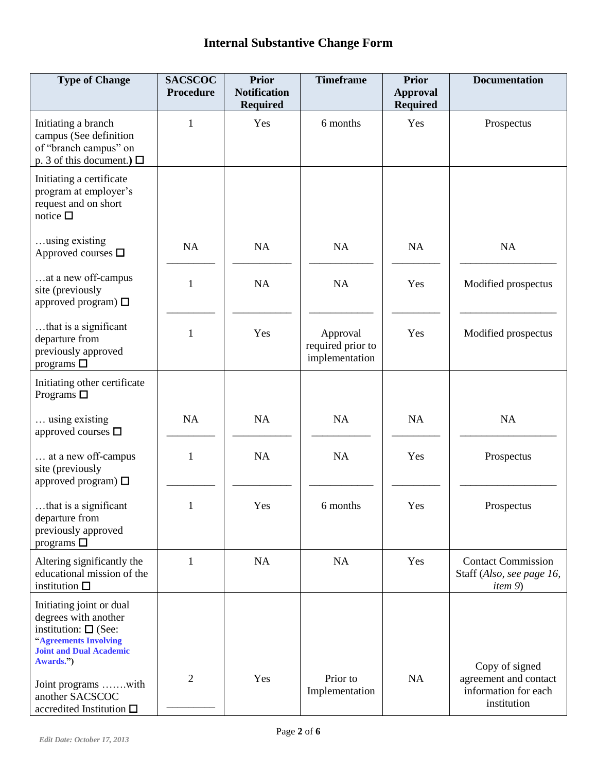| <b>Type of Change</b>                                                                                                                                    | <b>SACSCOC</b><br><b>Procedure</b> | <b>Prior</b><br><b>Notification</b><br><b>Required</b> | <b>Timeframe</b>                                | <b>Prior</b><br><b>Approval</b><br><b>Required</b> | <b>Documentation</b>                                                      |
|----------------------------------------------------------------------------------------------------------------------------------------------------------|------------------------------------|--------------------------------------------------------|-------------------------------------------------|----------------------------------------------------|---------------------------------------------------------------------------|
| Initiating a branch<br>campus (See definition<br>of "branch campus" on<br>p. 3 of this document.) $\Box$                                                 | $\mathbf{1}$                       | Yes                                                    | 6 months                                        | Yes                                                | Prospectus                                                                |
| Initiating a certificate<br>program at employer's<br>request and on short<br>notice $\square$                                                            |                                    |                                                        |                                                 |                                                    |                                                                           |
| using existing<br>Approved courses $\square$                                                                                                             | NA                                 | NA                                                     | NA                                              | NA                                                 | NA                                                                        |
| at a new off-campus<br>site (previously<br>approved program) $\Box$                                                                                      | $\mathbf{1}$                       | NA                                                     | NA                                              | Yes                                                | Modified prospectus                                                       |
| that is a significant<br>departure from<br>previously approved<br>programs $\square$                                                                     | 1                                  | Yes                                                    | Approval<br>required prior to<br>implementation | Yes                                                | Modified prospectus                                                       |
| Initiating other certificate<br>Programs $\square$                                                                                                       |                                    |                                                        |                                                 |                                                    |                                                                           |
| using existing<br>approved courses $\square$                                                                                                             | NA                                 | NA                                                     | NA                                              | NA                                                 | NA                                                                        |
| at a new off-campus<br>site (previously<br>approved program) $\Box$                                                                                      | $\mathbf{1}$                       | <b>NA</b>                                              | NA                                              | Yes                                                | Prospectus                                                                |
| that is a significant<br>departure from<br>previously approved<br>programs $\square$                                                                     | $\mathbf{1}$                       | Yes                                                    | 6 months                                        | Yes                                                | Prospectus                                                                |
| Altering significantly the<br>educational mission of the<br>institution $\square$                                                                        | 1                                  | <b>NA</b>                                              | NA                                              | Yes                                                | <b>Contact Commission</b><br>Staff (Also, see page 16,<br><i>item</i> $9$ |
| Initiating joint or dual<br>degrees with another<br>institution: $\square$ (See:<br>"Agreements Involving<br><b>Joint and Dual Academic</b><br>Awards.") |                                    |                                                        |                                                 |                                                    | Copy of signed                                                            |
| Joint programs with<br>another SACSCOC<br>accredited Institution $\square$                                                                               | $\overline{2}$                     | Yes                                                    | Prior to<br>Implementation                      | NA                                                 | agreement and contact<br>information for each<br>institution              |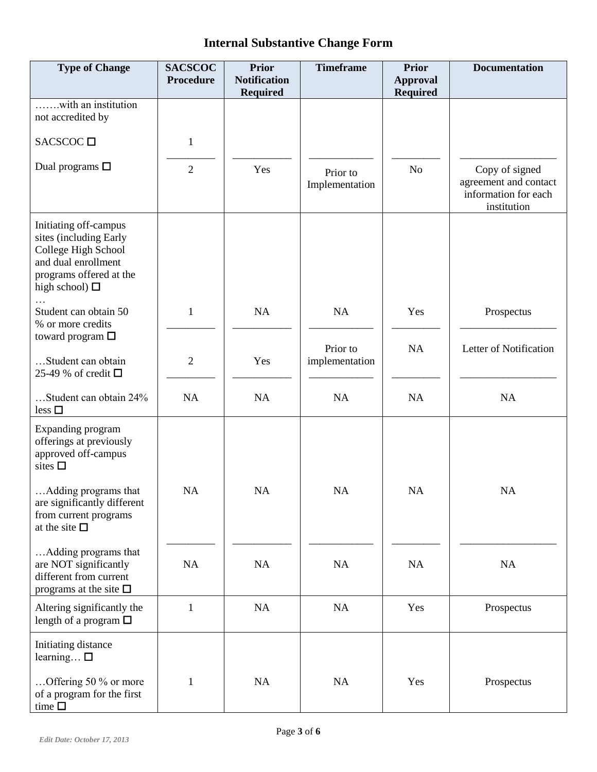| <b>Type of Change</b>                                                                                                                           | <b>SACSCOC</b><br>Procedure | <b>Prior</b><br><b>Notification</b><br><b>Required</b> | <b>Timeframe</b>           | <b>Prior</b><br><b>Approval</b><br><b>Required</b> | <b>Documentation</b>                                                           |
|-------------------------------------------------------------------------------------------------------------------------------------------------|-----------------------------|--------------------------------------------------------|----------------------------|----------------------------------------------------|--------------------------------------------------------------------------------|
| with an institution<br>not accredited by                                                                                                        |                             |                                                        |                            |                                                    |                                                                                |
| SACSCOC $\square$                                                                                                                               | $\mathbf{1}$                |                                                        |                            |                                                    |                                                                                |
| Dual programs $\square$                                                                                                                         | $\overline{2}$              | Yes                                                    | Prior to<br>Implementation | N <sub>o</sub>                                     | Copy of signed<br>agreement and contact<br>information for each<br>institution |
| Initiating off-campus<br>sites (including Early<br>College High School<br>and dual enrollment<br>programs offered at the<br>high school) $\Box$ |                             |                                                        |                            |                                                    |                                                                                |
| Student can obtain 50<br>% or more credits<br>toward program $\square$                                                                          | 1                           | NA                                                     | NA                         | Yes                                                | Prospectus                                                                     |
| Student can obtain<br>25-49 % of credit $\Box$                                                                                                  | $\overline{2}$              | Yes                                                    | Prior to<br>implementation | <b>NA</b>                                          | Letter of Notification                                                         |
| Student can obtain 24%<br>$less \square$                                                                                                        | NA                          | NA                                                     | NA                         | NA                                                 | NA                                                                             |
| <b>Expanding program</b><br>offerings at previously<br>approved off-campus<br>sites $\square$                                                   |                             |                                                        |                            |                                                    |                                                                                |
| Adding programs that<br>are significantly different<br>from current programs<br>at the site $\square$                                           | NA                          | NA                                                     | NA                         | NA                                                 | NA                                                                             |
| Adding programs that<br>are NOT significantly<br>different from current<br>programs at the site $\Box$                                          | NA                          | NA                                                     | NA                         | NA                                                 | NA                                                                             |
| Altering significantly the<br>length of a program $\Box$                                                                                        | $\mathbf{1}$                | NA                                                     | <b>NA</b>                  | Yes                                                | Prospectus                                                                     |
| Initiating distance<br>learning $\square$<br>Offering 50 $\%$ or more<br>of a program for the first<br>time $\square$                           | 1                           | <b>NA</b>                                              | NA                         | Yes                                                | Prospectus                                                                     |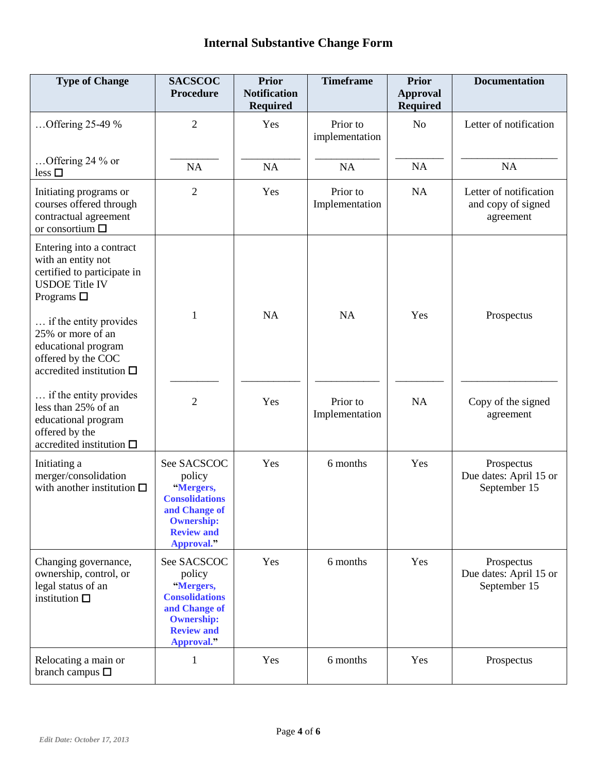| <b>Type of Change</b>                                                                                                        | <b>SACSCOC</b><br><b>Procedure</b>                                                                                                   | <b>Prior</b><br><b>Notification</b><br><b>Required</b> | <b>Timeframe</b>           | <b>Prior</b><br><b>Approval</b><br><b>Required</b> | <b>Documentation</b>                                      |
|------------------------------------------------------------------------------------------------------------------------------|--------------------------------------------------------------------------------------------------------------------------------------|--------------------------------------------------------|----------------------------|----------------------------------------------------|-----------------------------------------------------------|
| Offering 25-49 %                                                                                                             | $\overline{2}$                                                                                                                       | Yes                                                    | Prior to<br>implementation | N <sub>o</sub>                                     | Letter of notification                                    |
| Offering 24 % or<br>$less \square$                                                                                           | <b>NA</b>                                                                                                                            | NA                                                     | <b>NA</b>                  | NA                                                 | NA                                                        |
| Initiating programs or<br>courses offered through<br>contractual agreement<br>or consortium $\square$                        | $\overline{2}$                                                                                                                       | Yes                                                    | Prior to<br>Implementation | NA                                                 | Letter of notification<br>and copy of signed<br>agreement |
| Entering into a contract<br>with an entity not<br>certified to participate in<br><b>USDOE Title IV</b><br>Programs $\square$ |                                                                                                                                      |                                                        |                            |                                                    |                                                           |
| if the entity provides<br>25% or more of an<br>educational program<br>offered by the COC<br>accredited institution $\square$ | 1                                                                                                                                    | <b>NA</b>                                              | <b>NA</b>                  | Yes                                                | Prospectus                                                |
| if the entity provides<br>less than 25% of an<br>educational program<br>offered by the<br>accredited institution $\square$   | $\overline{2}$                                                                                                                       | Yes                                                    | Prior to<br>Implementation | <b>NA</b>                                          | Copy of the signed<br>agreement                           |
| Initiating a<br>merger/consolidation<br>with another institution $\square$                                                   | See SACSCOC<br>policy<br>"Mergers,<br><b>Consolidations</b><br>and Change of<br><b>Ownership:</b><br><b>Review and</b><br>Approval." | Yes                                                    | 6 months                   | Yes                                                | Prospectus<br>Due dates: April 15 or<br>September 15      |
| Changing governance,<br>ownership, control, or<br>legal status of an<br>institution $\square$                                | See SACSCOC<br>policy<br>"Mergers,<br><b>Consolidations</b><br>and Change of<br><b>Ownership:</b><br><b>Review and</b><br>Approval." | Yes                                                    | 6 months                   | Yes                                                | Prospectus<br>Due dates: April 15 or<br>September 15      |
| Relocating a main or<br>branch campus $\square$                                                                              | 1                                                                                                                                    | Yes                                                    | 6 months                   | Yes                                                | Prospectus                                                |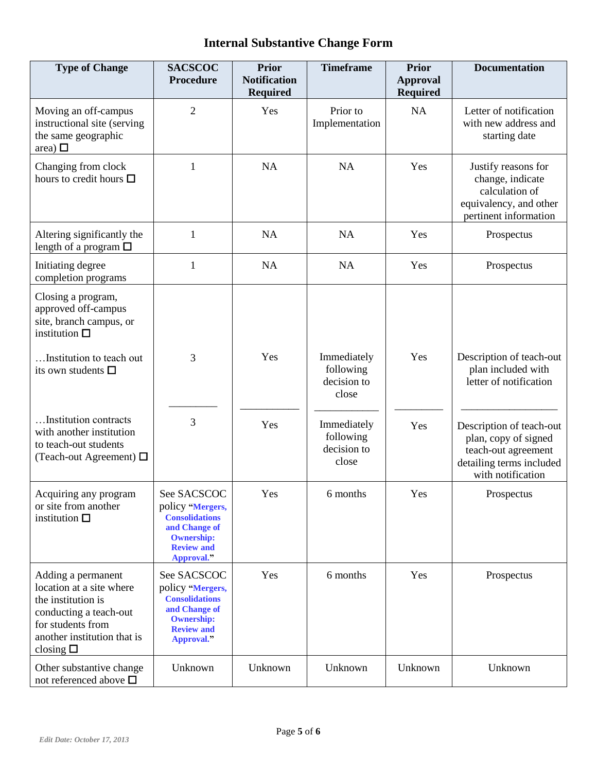| <b>Type of Change</b>                                                                                                                                                   | <b>SACSCOC</b><br><b>Procedure</b>                                                                                                | <b>Prior</b><br><b>Notification</b><br><b>Required</b> | <b>Timeframe</b>                                 | <b>Prior</b><br><b>Approval</b><br><b>Required</b> | <b>Documentation</b>                                                                                                     |
|-------------------------------------------------------------------------------------------------------------------------------------------------------------------------|-----------------------------------------------------------------------------------------------------------------------------------|--------------------------------------------------------|--------------------------------------------------|----------------------------------------------------|--------------------------------------------------------------------------------------------------------------------------|
| Moving an off-campus<br>instructional site (serving<br>the same geographic<br>area) $\square$                                                                           | $\overline{2}$                                                                                                                    | Yes                                                    | Prior to<br>Implementation                       | NA                                                 | Letter of notification<br>with new address and<br>starting date                                                          |
| Changing from clock<br>hours to credit hours $\square$                                                                                                                  | 1                                                                                                                                 | NA                                                     | NA                                               | Yes                                                | Justify reasons for<br>change, indicate<br>calculation of<br>equivalency, and other<br>pertinent information             |
| Altering significantly the<br>length of a program $\Box$                                                                                                                | 1                                                                                                                                 | NA                                                     | <b>NA</b>                                        | Yes                                                | Prospectus                                                                                                               |
| Initiating degree<br>completion programs                                                                                                                                | 1                                                                                                                                 | NA                                                     | <b>NA</b>                                        | Yes                                                | Prospectus                                                                                                               |
| Closing a program,<br>approved off-campus<br>site, branch campus, or<br>institution $\square$                                                                           |                                                                                                                                   |                                                        |                                                  |                                                    |                                                                                                                          |
| Institution to teach out<br>its own students $\square$                                                                                                                  | 3                                                                                                                                 | Yes                                                    | Immediately<br>following<br>decision to<br>close | Yes                                                | Description of teach-out<br>plan included with<br>letter of notification                                                 |
| Institution contracts<br>with another institution<br>to teach-out students<br>(Teach-out Agreement) $\Box$                                                              | 3                                                                                                                                 | Yes                                                    | Immediately<br>following<br>decision to<br>close | Yes                                                | Description of teach-out<br>plan, copy of signed<br>teach-out agreement<br>detailing terms included<br>with notification |
| Acquiring any program<br>or site from another<br>institution $\square$                                                                                                  | See SACSCOC<br>policy "Mergers,<br><b>Consolidations</b><br>and Change of<br><b>Ownership:</b><br><b>Review and</b><br>Approval." | Yes                                                    | 6 months                                         | Yes                                                | Prospectus                                                                                                               |
| Adding a permanent<br>location at a site where<br>the institution is<br>conducting a teach-out<br>for students from<br>another institution that is<br>closing $\square$ | See SACSCOC<br>policy "Mergers,<br><b>Consolidations</b><br>and Change of<br><b>Ownership:</b><br><b>Review and</b><br>Approval." | Yes                                                    | 6 months                                         | Yes                                                | Prospectus                                                                                                               |
| Other substantive change<br>not referenced above $\square$                                                                                                              | Unknown                                                                                                                           | Unknown                                                | Unknown                                          | Unknown                                            | Unknown                                                                                                                  |